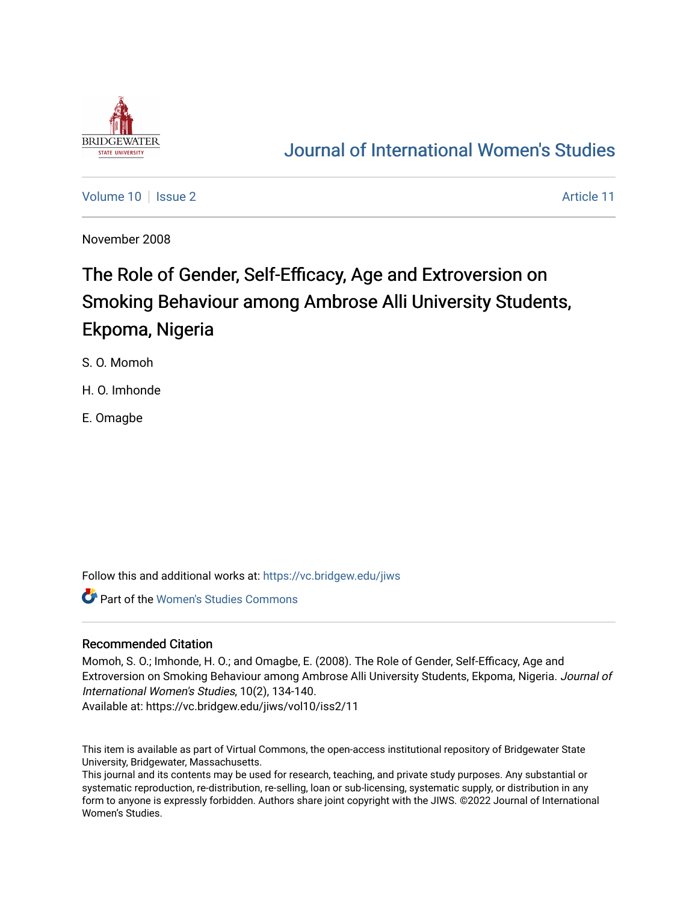

# [Journal of International Women's Studies](https://vc.bridgew.edu/jiws)

[Volume 10](https://vc.bridgew.edu/jiws/vol10) | [Issue 2](https://vc.bridgew.edu/jiws/vol10/iss2) Article 11

November 2008

# The Role of Gender, Self-Efficacy, Age and Extroversion on Smoking Behaviour among Ambrose Alli University Students, Ekpoma, Nigeria

S. O. Momoh

H. O. Imhonde

E. Omagbe

Follow this and additional works at: [https://vc.bridgew.edu/jiws](https://vc.bridgew.edu/jiws?utm_source=vc.bridgew.edu%2Fjiws%2Fvol10%2Fiss2%2F11&utm_medium=PDF&utm_campaign=PDFCoverPages)

Part of the [Women's Studies Commons](http://network.bepress.com/hgg/discipline/561?utm_source=vc.bridgew.edu%2Fjiws%2Fvol10%2Fiss2%2F11&utm_medium=PDF&utm_campaign=PDFCoverPages) 

#### Recommended Citation

Momoh, S. O.; Imhonde, H. O.; and Omagbe, E. (2008). The Role of Gender, Self-Efficacy, Age and Extroversion on Smoking Behaviour among Ambrose Alli University Students, Ekpoma, Nigeria. Journal of International Women's Studies, 10(2), 134-140.

Available at: https://vc.bridgew.edu/jiws/vol10/iss2/11

This item is available as part of Virtual Commons, the open-access institutional repository of Bridgewater State University, Bridgewater, Massachusetts.

This journal and its contents may be used for research, teaching, and private study purposes. Any substantial or systematic reproduction, re-distribution, re-selling, loan or sub-licensing, systematic supply, or distribution in any form to anyone is expressly forbidden. Authors share joint copyright with the JIWS. ©2022 Journal of International Women's Studies.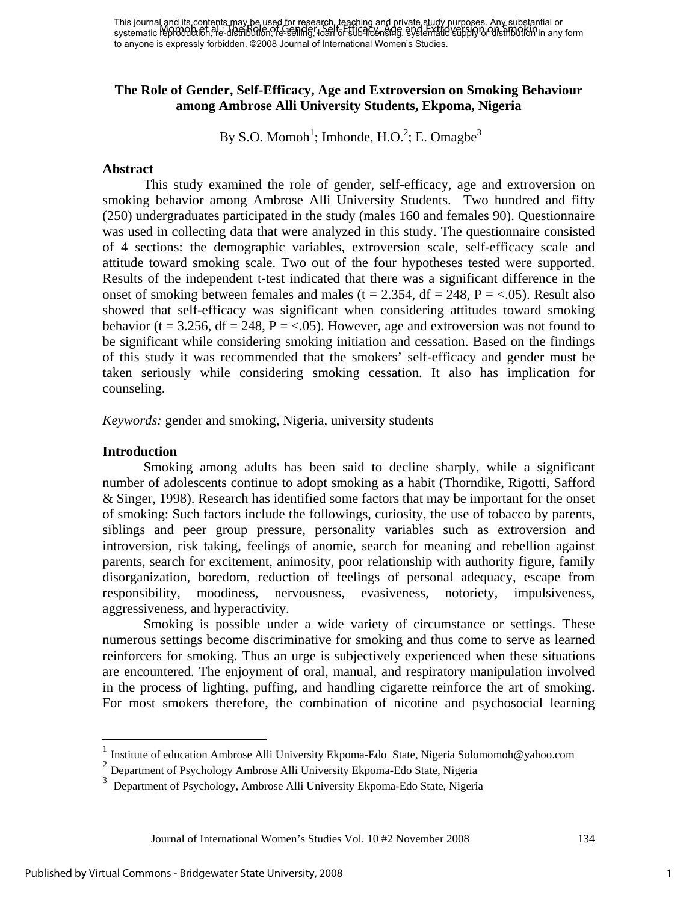This journal and its contents may be used for research, teaching and private study purposes. Any substantial or This journal ond in Bootherius They be used on research the Efficing any private supply published in any form i<br>systematic reproduction, The distribution, The selfidg, 1958 To Estis Alexandria, Systematic Selfify or Onstit to anyone is expressly forbidden. ©2008 Journal of International Women's Studies.

# **The Role of Gender, Self-Efficacy, Age and Extroversion on Smoking Behaviour among Ambrose Alli University Students, Ekpoma, Nigeria**

By S.O. Momoh<sup>1</sup>; Imhonde, H.O.<sup>2</sup>; E. Omagbe<sup>3</sup>

#### **Abstract**

This study examined the role of gender, self-efficacy, age and extroversion on smoking behavior among Ambrose Alli University Students. Two hundred and fifty (250) undergraduates participated in the study (males 160 and females 90). Questionnaire was used in collecting data that were analyzed in this study. The questionnaire consisted of 4 sections: the demographic variables, extroversion scale, self-efficacy scale and attitude toward smoking scale. Two out of the four hypotheses tested were supported. Results of the independent t-test indicated that there was a significant difference in the onset of smoking between females and males ( $t = 2.354$ ,  $df = 248$ ,  $P = < .05$ ). Result also showed that self-efficacy was significant when considering attitudes toward smoking behavior (t = 3.256, df = 248, P = <.05). However, age and extroversion was not found to be significant while considering smoking initiation and cessation. Based on the findings of this study it was recommended that the smokers' self-efficacy and gender must be taken seriously while considering smoking cessation. It also has implication for counseling.

*Keywords:* gender and smoking, Nigeria, university students

#### **Introduction**

 $\overline{a}$ 

Smoking among adults has been said to decline sharply, while a significant number of adolescents continue to adopt smoking as a habit (Thorndike, Rigotti, Safford & Singer, 1998). Research has identified some factors that may be important for the onset of smoking: Such factors include the followings, curiosity, the use of tobacco by parents, siblings and peer group pressure, personality variables such as extroversion and introversion, risk taking, feelings of anomie, search for meaning and rebellion against parents, search for excitement, animosity, poor relationship with authority figure, family disorganization, boredom, reduction of feelings of personal adequacy, escape from responsibility, moodiness, nervousness, evasiveness, notoriety, impulsiveness, aggressiveness, and hyperactivity.

Smoking is possible under a wide variety of circumstance or settings. These numerous settings become discriminative for smoking and thus come to serve as learned reinforcers for smoking. Thus an urge is subjectively experienced when these situations are encountered. The enjoyment of oral, manual, and respiratory manipulation involved in the process of lighting, puffing, and handling cigarette reinforce the art of smoking. For most smokers therefore, the combination of nicotine and psychosocial learning

Journal of International Women's Studies Vol. 10 #2 November 2008 134

<sup>1</sup> Institute of education Ambrose Alli University Ekpoma-Edo State, Nigeria Solomomoh@yahoo.com

 $2$  Department of Psychology Ambrose Alli University Ekpoma-Edo State, Nigeria

<sup>3</sup> Department of Psychology, Ambrose Alli University Ekpoma-Edo State, Nigeria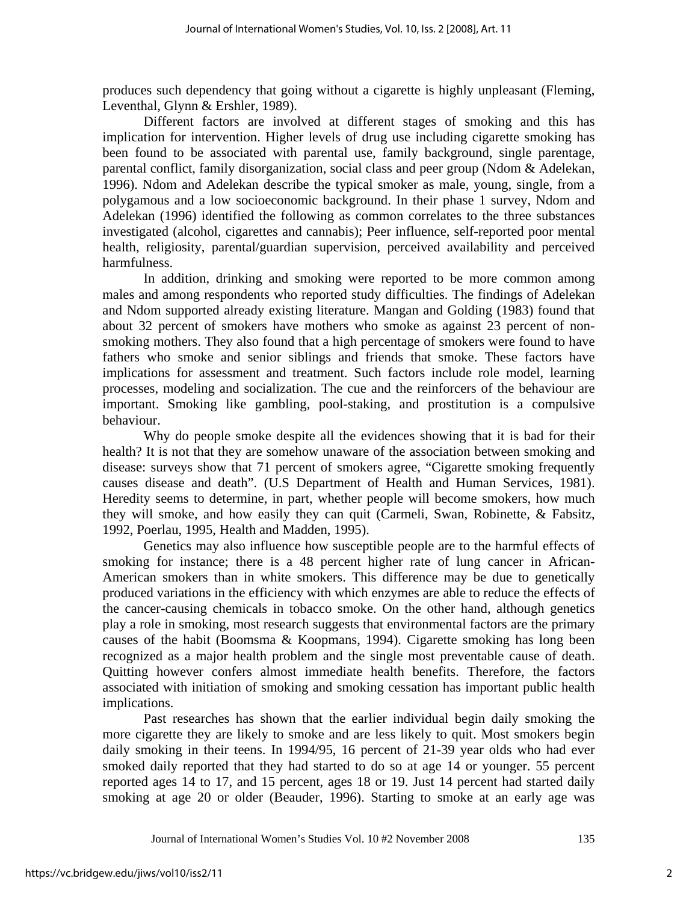produces such dependency that going without a cigarette is highly unpleasant (Fleming, Leventhal, Glynn & Ershler, 1989).

Different factors are involved at different stages of smoking and this has implication for intervention. Higher levels of drug use including cigarette smoking has been found to be associated with parental use, family background, single parentage, parental conflict, family disorganization, social class and peer group (Ndom & Adelekan, 1996). Ndom and Adelekan describe the typical smoker as male, young, single, from a polygamous and a low socioeconomic background. In their phase 1 survey, Ndom and Adelekan (1996) identified the following as common correlates to the three substances investigated (alcohol, cigarettes and cannabis); Peer influence, self-reported poor mental health, religiosity, parental/guardian supervision, perceived availability and perceived harmfulness.

In addition, drinking and smoking were reported to be more common among males and among respondents who reported study difficulties. The findings of Adelekan and Ndom supported already existing literature. Mangan and Golding (1983) found that about 32 percent of smokers have mothers who smoke as against 23 percent of nonsmoking mothers. They also found that a high percentage of smokers were found to have fathers who smoke and senior siblings and friends that smoke. These factors have implications for assessment and treatment. Such factors include role model, learning processes, modeling and socialization. The cue and the reinforcers of the behaviour are important. Smoking like gambling, pool-staking, and prostitution is a compulsive behaviour.

Why do people smoke despite all the evidences showing that it is bad for their health? It is not that they are somehow unaware of the association between smoking and disease: surveys show that 71 percent of smokers agree, "Cigarette smoking frequently causes disease and death". (U.S Department of Health and Human Services, 1981). Heredity seems to determine, in part, whether people will become smokers, how much they will smoke, and how easily they can quit (Carmeli, Swan, Robinette, & Fabsitz, 1992, Poerlau, 1995, Health and Madden, 1995).

Genetics may also influence how susceptible people are to the harmful effects of smoking for instance; there is a 48 percent higher rate of lung cancer in African-American smokers than in white smokers. This difference may be due to genetically produced variations in the efficiency with which enzymes are able to reduce the effects of the cancer-causing chemicals in tobacco smoke. On the other hand, although genetics play a role in smoking, most research suggests that environmental factors are the primary causes of the habit (Boomsma & Koopmans, 1994). Cigarette smoking has long been recognized as a major health problem and the single most preventable cause of death. Quitting however confers almost immediate health benefits. Therefore, the factors associated with initiation of smoking and smoking cessation has important public health implications.

Past researches has shown that the earlier individual begin daily smoking the more cigarette they are likely to smoke and are less likely to quit. Most smokers begin daily smoking in their teens. In 1994/95, 16 percent of 21-39 year olds who had ever smoked daily reported that they had started to do so at age 14 or younger. 55 percent reported ages 14 to 17, and 15 percent, ages 18 or 19. Just 14 percent had started daily smoking at age 20 or older (Beauder, 1996). Starting to smoke at an early age was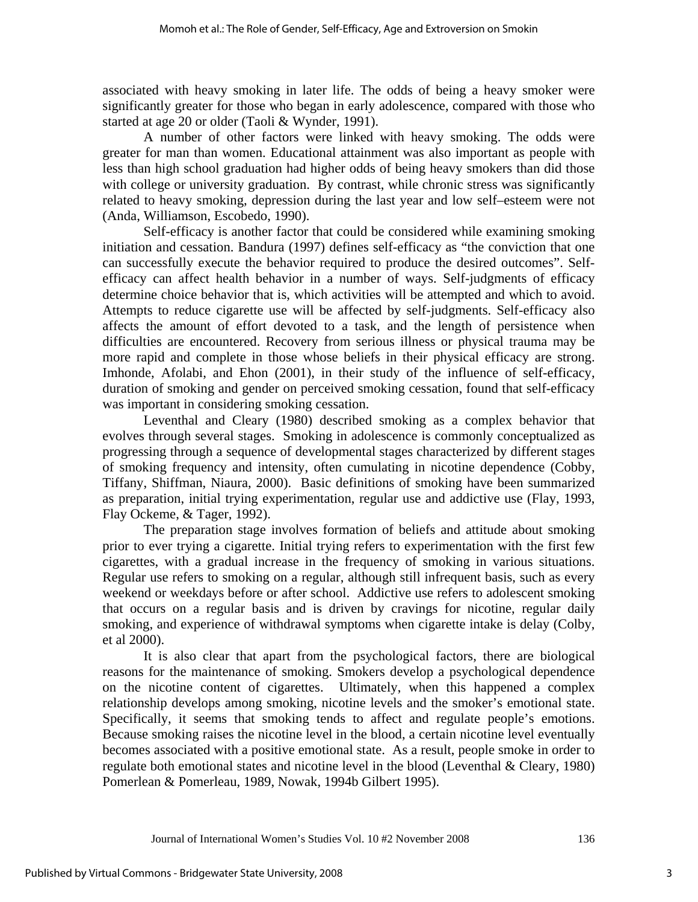associated with heavy smoking in later life. The odds of being a heavy smoker were significantly greater for those who began in early adolescence, compared with those who started at age 20 or older (Taoli & Wynder, 1991).

A number of other factors were linked with heavy smoking. The odds were greater for man than women. Educational attainment was also important as people with less than high school graduation had higher odds of being heavy smokers than did those with college or university graduation. By contrast, while chronic stress was significantly related to heavy smoking, depression during the last year and low self–esteem were not (Anda, Williamson, Escobedo, 1990).

Self-efficacy is another factor that could be considered while examining smoking initiation and cessation. Bandura (1997) defines self-efficacy as "the conviction that one can successfully execute the behavior required to produce the desired outcomes". Selfefficacy can affect health behavior in a number of ways. Self-judgments of efficacy determine choice behavior that is, which activities will be attempted and which to avoid. Attempts to reduce cigarette use will be affected by self-judgments. Self-efficacy also affects the amount of effort devoted to a task, and the length of persistence when difficulties are encountered. Recovery from serious illness or physical trauma may be more rapid and complete in those whose beliefs in their physical efficacy are strong. Imhonde, Afolabi, and Ehon (2001), in their study of the influence of self-efficacy, duration of smoking and gender on perceived smoking cessation, found that self-efficacy was important in considering smoking cessation.

Leventhal and Cleary (1980) described smoking as a complex behavior that evolves through several stages. Smoking in adolescence is commonly conceptualized as progressing through a sequence of developmental stages characterized by different stages of smoking frequency and intensity, often cumulating in nicotine dependence (Cobby, Tiffany, Shiffman, Niaura, 2000). Basic definitions of smoking have been summarized as preparation, initial trying experimentation, regular use and addictive use (Flay, 1993, Flay Ockeme, & Tager, 1992).

The preparation stage involves formation of beliefs and attitude about smoking prior to ever trying a cigarette. Initial trying refers to experimentation with the first few cigarettes, with a gradual increase in the frequency of smoking in various situations. Regular use refers to smoking on a regular, although still infrequent basis, such as every weekend or weekdays before or after school. Addictive use refers to adolescent smoking that occurs on a regular basis and is driven by cravings for nicotine, regular daily smoking, and experience of withdrawal symptoms when cigarette intake is delay (Colby, et al 2000).

It is also clear that apart from the psychological factors, there are biological reasons for the maintenance of smoking. Smokers develop a psychological dependence on the nicotine content of cigarettes. Ultimately, when this happened a complex relationship develops among smoking, nicotine levels and the smoker's emotional state. Specifically, it seems that smoking tends to affect and regulate people's emotions. Because smoking raises the nicotine level in the blood, a certain nicotine level eventually becomes associated with a positive emotional state. As a result, people smoke in order to regulate both emotional states and nicotine level in the blood (Leventhal & Cleary, 1980) Pomerlean & Pomerleau, 1989, Nowak, 1994b Gilbert 1995).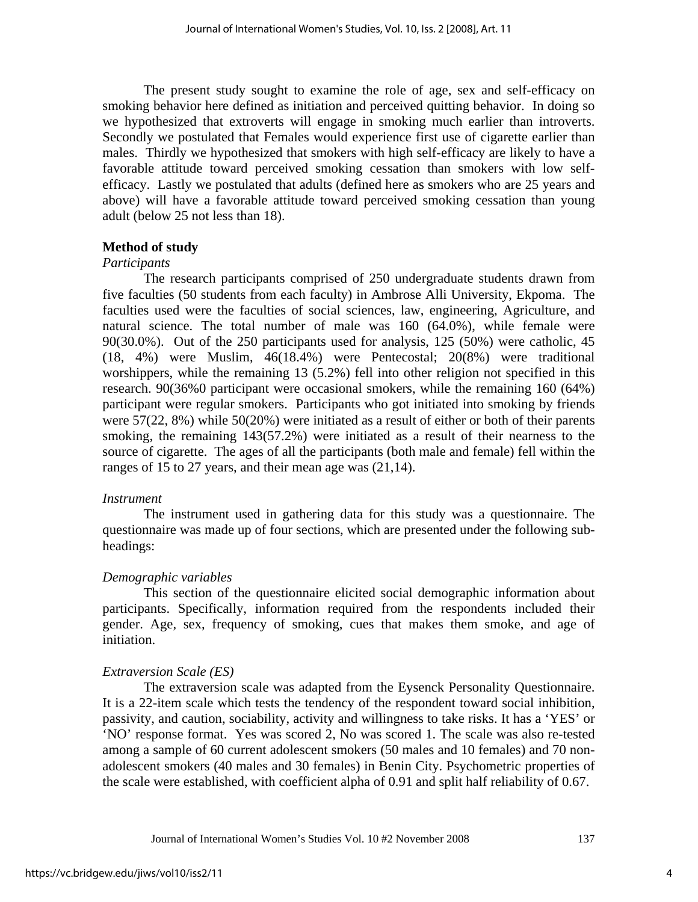The present study sought to examine the role of age, sex and self-efficacy on smoking behavior here defined as initiation and perceived quitting behavior. In doing so we hypothesized that extroverts will engage in smoking much earlier than introverts. Secondly we postulated that Females would experience first use of cigarette earlier than males. Thirdly we hypothesized that smokers with high self-efficacy are likely to have a favorable attitude toward perceived smoking cessation than smokers with low selfefficacy. Lastly we postulated that adults (defined here as smokers who are 25 years and above) will have a favorable attitude toward perceived smoking cessation than young adult (below 25 not less than 18).

# **Method of study**

#### *Participants*

 The research participants comprised of 250 undergraduate students drawn from five faculties (50 students from each faculty) in Ambrose Alli University, Ekpoma. The faculties used were the faculties of social sciences, law, engineering, Agriculture, and natural science. The total number of male was 160 (64.0%), while female were 90(30.0%). Out of the 250 participants used for analysis, 125 (50%) were catholic, 45 (18, 4%) were Muslim, 46(18.4%) were Pentecostal; 20(8%) were traditional worshippers, while the remaining 13 (5.2%) fell into other religion not specified in this research. 90(36%0 participant were occasional smokers, while the remaining 160 (64%) participant were regular smokers. Participants who got initiated into smoking by friends were 57(22, 8%) while 50(20%) were initiated as a result of either or both of their parents smoking, the remaining 143(57.2%) were initiated as a result of their nearness to the source of cigarette. The ages of all the participants (both male and female) fell within the ranges of 15 to 27 years, and their mean age was (21,14).

#### *Instrument*

 The instrument used in gathering data for this study was a questionnaire. The questionnaire was made up of four sections, which are presented under the following subheadings:

#### *Demographic variables*

This section of the questionnaire elicited social demographic information about participants. Specifically, information required from the respondents included their gender. Age, sex, frequency of smoking, cues that makes them smoke, and age of initiation.

#### *Extraversion Scale (ES)*

 The extraversion scale was adapted from the Eysenck Personality Questionnaire. It is a 22-item scale which tests the tendency of the respondent toward social inhibition, passivity, and caution, sociability, activity and willingness to take risks. It has a 'YES' or 'NO' response format. Yes was scored 2, No was scored 1. The scale was also re-tested among a sample of 60 current adolescent smokers (50 males and 10 females) and 70 nonadolescent smokers (40 males and 30 females) in Benin City. Psychometric properties of the scale were established, with coefficient alpha of 0.91 and split half reliability of 0.67.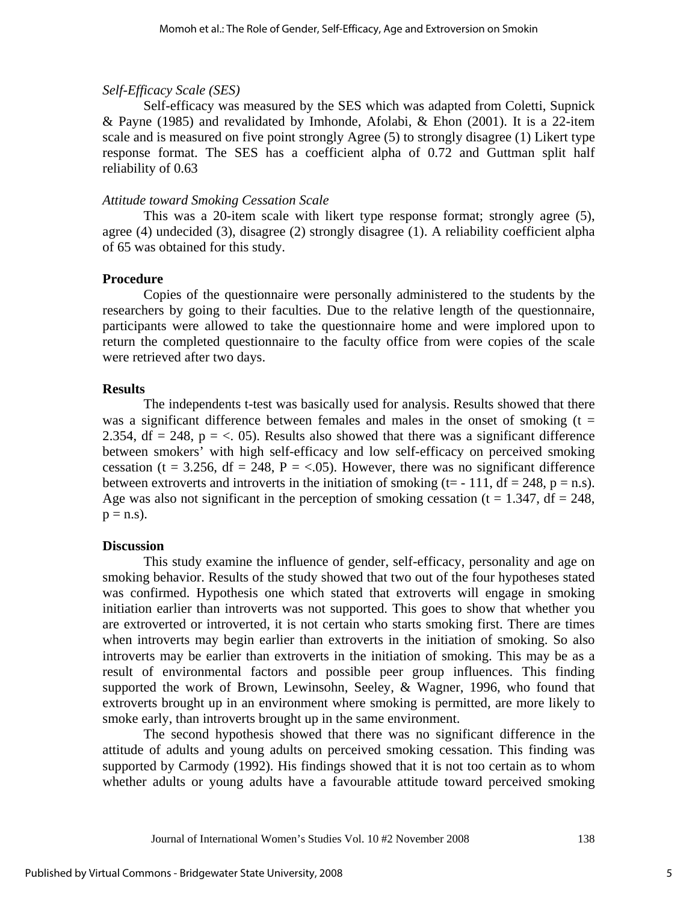# *Self-Efficacy Scale (SES)*

Self-efficacy was measured by the SES which was adapted from Coletti, Supnick & Payne (1985) and revalidated by Imhonde, Afolabi, & Ehon (2001). It is a 22-item scale and is measured on five point strongly Agree (5) to strongly disagree (1) Likert type response format. The SES has a coefficient alpha of 0.72 and Guttman split half reliability of 0.63

# *Attitude toward Smoking Cessation Scale*

This was a 20-item scale with likert type response format; strongly agree (5), agree (4) undecided (3), disagree (2) strongly disagree (1). A reliability coefficient alpha of 65 was obtained for this study.

# **Procedure**

 Copies of the questionnaire were personally administered to the students by the researchers by going to their faculties. Due to the relative length of the questionnaire, participants were allowed to take the questionnaire home and were implored upon to return the completed questionnaire to the faculty office from were copies of the scale were retrieved after two days.

# **Results**

 The independents t-test was basically used for analysis. Results showed that there was a significant difference between females and males in the onset of smoking  $(t =$ 2.354, df = 248,  $p = \langle .05 \rangle$ . Results also showed that there was a significant difference between smokers' with high self-efficacy and low self-efficacy on perceived smoking cessation (t = 3.256, df = 248, P = <.05). However, there was no significant difference between extroverts and introverts in the initiation of smoking (t= - 111, df = 248,  $p = n.s$ ). Age was also not significant in the perception of smoking cessation ( $t = 1.347$ , df = 248,  $p = n.s$ ).

# **Discussion**

 This study examine the influence of gender, self-efficacy, personality and age on smoking behavior. Results of the study showed that two out of the four hypotheses stated was confirmed. Hypothesis one which stated that extroverts will engage in smoking initiation earlier than introverts was not supported. This goes to show that whether you are extroverted or introverted, it is not certain who starts smoking first. There are times when introverts may begin earlier than extroverts in the initiation of smoking. So also introverts may be earlier than extroverts in the initiation of smoking. This may be as a result of environmental factors and possible peer group influences. This finding supported the work of Brown, Lewinsohn, Seeley, & Wagner, 1996, who found that extroverts brought up in an environment where smoking is permitted, are more likely to smoke early, than introverts brought up in the same environment.

 The second hypothesis showed that there was no significant difference in the attitude of adults and young adults on perceived smoking cessation. This finding was supported by Carmody (1992). His findings showed that it is not too certain as to whom whether adults or young adults have a favourable attitude toward perceived smoking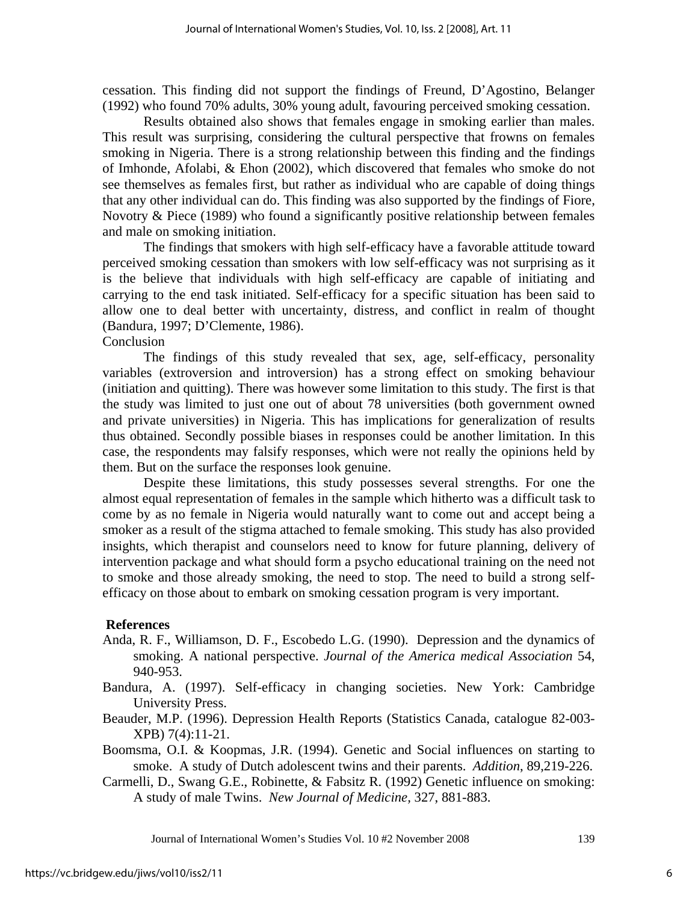cessation. This finding did not support the findings of Freund, D'Agostino, Belanger (1992) who found 70% adults, 30% young adult, favouring perceived smoking cessation.

 Results obtained also shows that females engage in smoking earlier than males. This result was surprising, considering the cultural perspective that frowns on females smoking in Nigeria. There is a strong relationship between this finding and the findings of Imhonde, Afolabi, & Ehon (2002), which discovered that females who smoke do not see themselves as females first, but rather as individual who are capable of doing things that any other individual can do. This finding was also supported by the findings of Fiore, Novotry & Piece (1989) who found a significantly positive relationship between females and male on smoking initiation.

 The findings that smokers with high self-efficacy have a favorable attitude toward perceived smoking cessation than smokers with low self-efficacy was not surprising as it is the believe that individuals with high self-efficacy are capable of initiating and carrying to the end task initiated. Self-efficacy for a specific situation has been said to allow one to deal better with uncertainty, distress, and conflict in realm of thought (Bandura, 1997; D'Clemente, 1986).

### Conclusion

 The findings of this study revealed that sex, age, self-efficacy, personality variables (extroversion and introversion) has a strong effect on smoking behaviour (initiation and quitting). There was however some limitation to this study. The first is that the study was limited to just one out of about 78 universities (both government owned and private universities) in Nigeria. This has implications for generalization of results thus obtained. Secondly possible biases in responses could be another limitation. In this case, the respondents may falsify responses, which were not really the opinions held by them. But on the surface the responses look genuine.

Despite these limitations, this study possesses several strengths. For one the almost equal representation of females in the sample which hitherto was a difficult task to come by as no female in Nigeria would naturally want to come out and accept being a smoker as a result of the stigma attached to female smoking. This study has also provided insights, which therapist and counselors need to know for future planning, delivery of intervention package and what should form a psycho educational training on the need not to smoke and those already smoking, the need to stop. The need to build a strong selfefficacy on those about to embark on smoking cessation program is very important.

#### **References**

- Anda, R. F., Williamson, D. F., Escobedo L.G. (1990). Depression and the dynamics of smoking. A national perspective. *Journal of the America medical Association* 54, 940-953.
- Bandura, A. (1997). Self-efficacy in changing societies. New York: Cambridge University Press.
- Beauder, M.P. (1996). Depression Health Reports (Statistics Canada, catalogue 82-003- XPB) 7(4):11-21.
- Boomsma, O.I. & Koopmas, J.R. (1994). Genetic and Social influences on starting to smoke. A study of Dutch adolescent twins and their parents. *Addition*, 89,219-226.
- Carmelli, D., Swang G.E., Robinette, & Fabsitz R. (1992) Genetic influence on smoking: A study of male Twins. *New Journal of Medicine,* 327, 881-883.

Journal of International Women's Studies Vol. 10 #2 November 2008 139